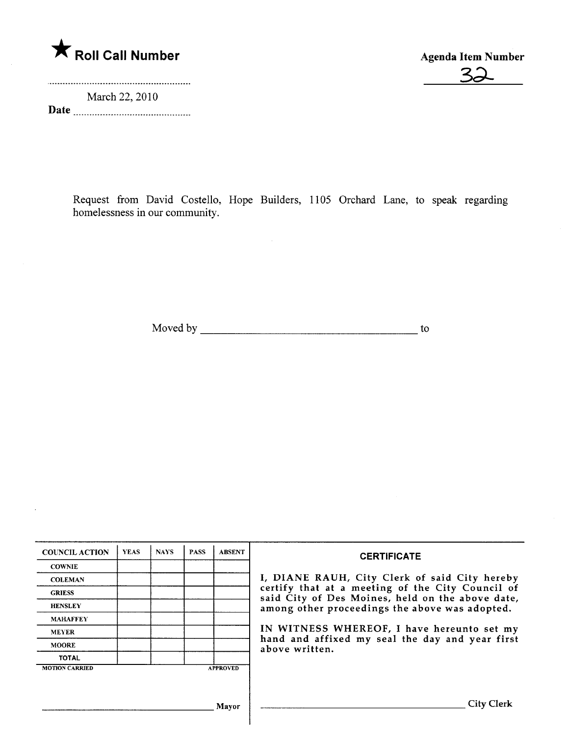

March 22, 2010 Date

 $\cdot$ 



Request from David Costello, Hope Builders, 1105 Orchard Lane, to speak regarding homelessness in our community.

Moved by  $\qquad \qquad$  to

| <b>COUNCIL ACTION</b> | <b>YEAS</b> | <b>NAYS</b> | <b>PASS</b> | <b>ABSENT</b>   | <b>CERTIFICATE</b>                                                                                                                                                                                                                                                                                                         |
|-----------------------|-------------|-------------|-------------|-----------------|----------------------------------------------------------------------------------------------------------------------------------------------------------------------------------------------------------------------------------------------------------------------------------------------------------------------------|
| <b>COWNIE</b>         |             |             |             |                 |                                                                                                                                                                                                                                                                                                                            |
| <b>COLEMAN</b>        |             |             |             |                 | I, DIANE RAUH, City Clerk of said City hereby<br>certify that at a meeting of the City Council of<br>said City of Des Moines, held on the above date,<br>among other proceedings the above was adopted.<br>IN WITNESS WHEREOF, I have hereunto set my<br>hand and affixed my seal the day and year first<br>above written. |
| <b>GRIESS</b>         |             |             |             |                 |                                                                                                                                                                                                                                                                                                                            |
| <b>HENSLEY</b>        |             |             |             |                 |                                                                                                                                                                                                                                                                                                                            |
| <b>MAHAFFEY</b>       |             |             |             |                 |                                                                                                                                                                                                                                                                                                                            |
| <b>MEYER</b>          |             |             |             |                 |                                                                                                                                                                                                                                                                                                                            |
| <b>MOORE</b>          |             |             |             |                 |                                                                                                                                                                                                                                                                                                                            |
| <b>TOTAL</b>          |             |             |             |                 |                                                                                                                                                                                                                                                                                                                            |
| <b>MOTION CARRIED</b> |             |             |             | <b>APPROVED</b> |                                                                                                                                                                                                                                                                                                                            |
|                       |             |             |             |                 |                                                                                                                                                                                                                                                                                                                            |
|                       |             |             |             |                 |                                                                                                                                                                                                                                                                                                                            |
| Mavor                 |             |             |             |                 | <b>City Clerk</b>                                                                                                                                                                                                                                                                                                          |